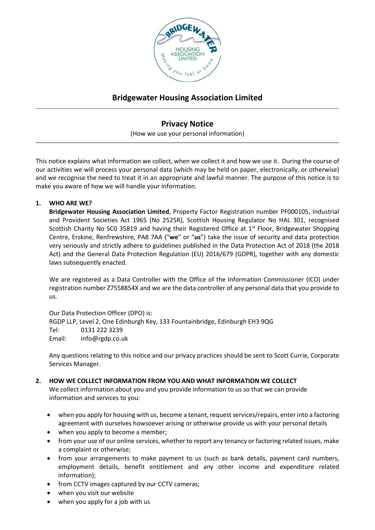

# **Bridgewater Housing Association Limited**

## **Privacy Notice**

(How we use your personal information)

This notice explains what information we collect, when we collect it and how we use it. During the course of our activities we will process your personal data (which may be held on paper, electronically, or otherwise) and we recognise the need to treat it in an appropriate and lawful manner. The purpose of this notice is to make you aware of how we will handle your information.

## **1. WHO ARE WE?**

**Bridgewater Housing Association Limited**, Property Factor Registration number PF000105, Industrial and Provident Societies Act 1965 (No 2525R), Scottish Housing Regulator No HAL 301, recognised Scottish Charity No SC0 35819 and having their Registered Office at  $1<sup>st</sup>$  Floor, Bridgewater Shopping Centre, Erskine, Renfrewshire, PA8 7AA ("**we**" or "**us**") take the issue of security and data protection very seriously and strictly adhere to guidelines published in the Data Protection Act of 2018 (the 2018 Act) and the General Data Protection Regulation (EU) 2016/679 (GDPR), together with any domestic laws subsequently enacted.

We are registered as a Data Controller with the Office of the Information Commissioner (ICO) under registration number Z7558854X and we are the data controller of any personal data that you provide to us.

Our Data Protection Officer (DPO) is: RGDP LLP, Level 2, One Edinburgh Key, 133 Fountainbridge, Edinburgh EH3 9QG Tel: 0131 222 3239 Email: info@rgdp.co.uk

Any questions relating to this notice and our privacy practices should be sent to Scott Currie, Corporate Services Manager.

## **2. HOW WE COLLECT INFORMATION FROM YOU AND WHAT INFORMATION WE COLLECT**

We collect information about you and you provide information to us so that we can provide information and services to you:

- when you apply for housing with us, become a tenant, request services/repairs, enter into a factoring agreement with ourselves howsoever arising or otherwise provide us with your personal details
- when you apply to become a member;
- from your use of our online services, whether to report any tenancy or factoring related issues, make a complaint or otherwise;
- from your arrangements to make payment to us (such as bank details, payment card numbers, employment details, benefit entitlement and any other income and expenditure related information);
- from CCTV images captured by our CCTV cameras;
- when you visit our website
- when you apply for a job with us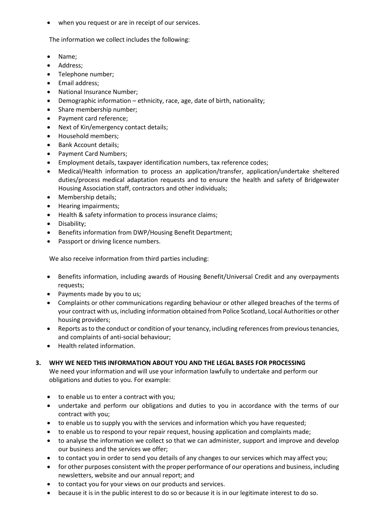when you request or are in receipt of our services.

The information we collect includes the following:

- Name;
- Address;
- Telephone number;
- Email address;
- National Insurance Number;
- Demographic information ethnicity, race, age, date of birth, nationality;
- Share membership number;
- Payment card reference;
- Next of Kin/emergency contact details;
- Household members;
- Bank Account details;
- Payment Card Numbers;
- Employment details, taxpayer identification numbers, tax reference codes;
- Medical/Health information to process an application/transfer, application/undertake sheltered duties/process medical adaptation requests and to ensure the health and safety of Bridgewater Housing Association staff, contractors and other individuals;
- Membership details;
- Hearing impairments;
- Health & safety information to process insurance claims;
- Disability;
- Benefits information from DWP/Housing Benefit Department;
- Passport or driving licence numbers.

We also receive information from third parties including:

- Benefits information, including awards of Housing Benefit/Universal Credit and any overpayments requests;
- Payments made by you to us;
- Complaints or other communications regarding behaviour or other alleged breaches of the terms of your contract with us, including information obtained from Police Scotland, Local Authorities or other housing providers;
- Reports as to the conduct or condition of your tenancy, including references from previous tenancies, and complaints of anti-social behaviour;
- Health related information.
- **3. WHY WE NEED THIS INFORMATION ABOUT YOU AND THE LEGAL BASES FOR PROCESSING**

We need your information and will use your information lawfully to undertake and perform our obligations and duties to you. For example:

- to enable us to enter a contract with you;
- undertake and perform our obligations and duties to you in accordance with the terms of our contract with you;
- to enable us to supply you with the services and information which you have requested;
- to enable us to respond to your repair request, housing application and complaints made;
- to analyse the information we collect so that we can administer, support and improve and develop our business and the services we offer;
- to contact you in order to send you details of any changes to our services which may affect you;
- for other purposes consistent with the proper performance of our operations and business, including newsletters, website and our annual report; and
- to contact you for your views on our products and services.
- because it is in the public interest to do so or because it is in our legitimate interest to do so.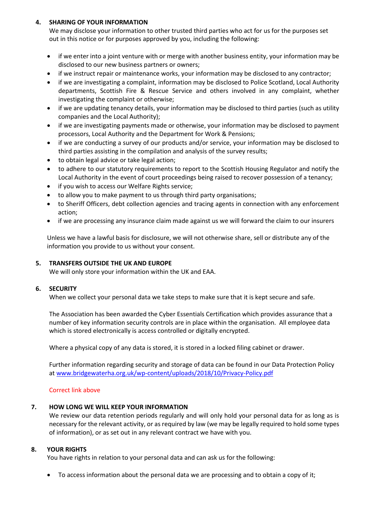## **4. SHARING OF YOUR INFORMATION**

We may disclose your information to other trusted third parties who act for us for the purposes set out in this notice or for purposes approved by you, including the following:

- if we enter into a joint venture with or merge with another business entity, your information may be disclosed to our new business partners or owners;
- if we instruct repair or maintenance works, your information may be disclosed to any contractor;
- if we are investigating a complaint, information may be disclosed to Police Scotland, Local Authority departments, Scottish Fire & Rescue Service and others involved in any complaint, whether investigating the complaint or otherwise;
- if we are updating tenancy details, your information may be disclosed to third parties (such as utility companies and the Local Authority);
- if we are investigating payments made or otherwise, your information may be disclosed to payment processors, Local Authority and the Department for Work & Pensions;
- if we are conducting a survey of our products and/or service, your information may be disclosed to third parties assisting in the compilation and analysis of the survey results;
- to obtain legal advice or take legal action;
- to adhere to our statutory requirements to report to the Scottish Housing Regulator and notify the Local Authority in the event of court proceedings being raised to recover possession of a tenancy;
- if you wish to access our Welfare Rights service;
- to allow you to make payment to us through third party organisations;
- to Sheriff Officers, debt collection agencies and tracing agents in connection with any enforcement action;
- if we are processing any insurance claim made against us we will forward the claim to our insurers

Unless we have a lawful basis for disclosure, we will not otherwise share, sell or distribute any of the information you provide to us without your consent.

#### **5. TRANSFERS OUTSIDE THE UK AND EUROPE**

We will only store your information within the UK and EAA.

#### **6. SECURITY**

When we collect your personal data we take steps to make sure that it is kept secure and safe.

The Association has been awarded the Cyber Essentials Certification which provides assurance that a number of key information security controls are in place within the organisation. All employee data which is stored electronically is access controlled or digitally encrypted.

Where a physical copy of any data is stored, it is stored in a locked filing cabinet or drawer.

Further information regarding security and storage of data can be found in our Data Protection Policy a[t www.bridgewaterha.org.uk/wp-content/uploads/2018/10/Privacy-Policy.pdf](http://www.bridgewaterha.org.uk/wp-content/uploads/2018/10/Privacy-Policy.pdf)

#### Correct link above

#### **7. HOW LONG WE WILL KEEP YOUR INFORMATION**

We review our data retention periods regularly and will only hold your personal data for as long as is necessary for the relevant activity, or as required by law (we may be legally required to hold some types of information), or as set out in any relevant contract we have with you.

#### **8. YOUR RIGHTS**

You have rights in relation to your personal data and can ask us for the following:

• To access information about the personal data we are processing and to obtain a copy of it;